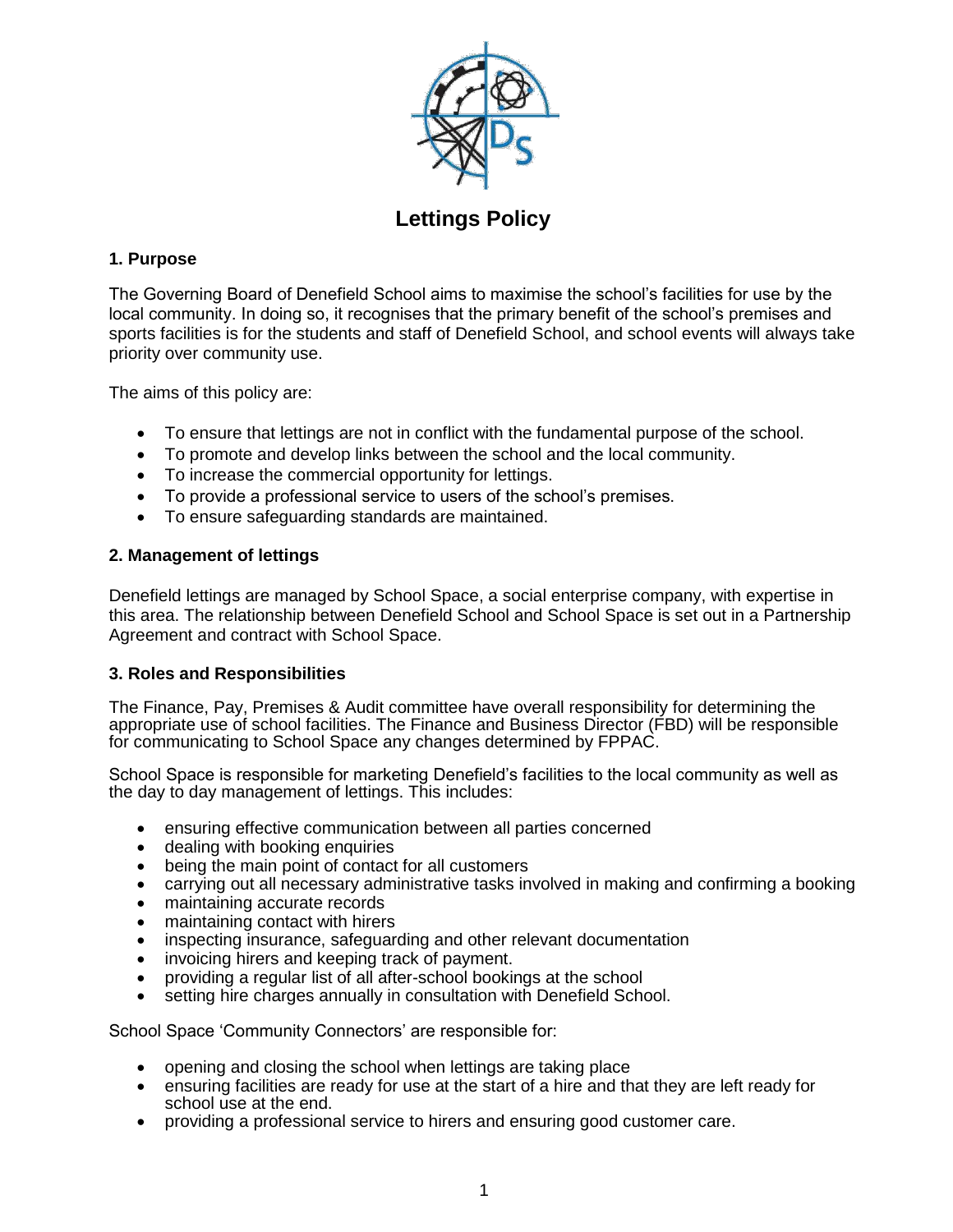

**Lettings Policy**

# **1. Purpose**

The Governing Board of Denefield School aims to maximise the school's facilities for use by the local community. In doing so, it recognises that the primary benefit of the school's premises and sports facilities is for the students and staff of Denefield School, and school events will always take priority over community use.

The aims of this policy are:

- To ensure that lettings are not in conflict with the fundamental purpose of the school.
- To promote and develop links between the school and the local community.
- To increase the commercial opportunity for lettings.
- To provide a professional service to users of the school's premises.
- To ensure safeguarding standards are maintained.

## **2. Management of lettings**

Denefield lettings are managed by School Space, a social enterprise company, with expertise in this area. The relationship between Denefield School and School Space is set out in a Partnership Agreement and contract with School Space.

## **3. Roles and Responsibilities**

The Finance, Pay, Premises & Audit committee have overall responsibility for determining the appropriate use of school facilities. The Finance and Business Director (FBD) will be responsible for communicating to School Space any changes determined by FPPAC.

School Space is responsible for marketing Denefield's facilities to the local community as well as the day to day management of lettings. This includes:

- ensuring effective communication between all parties concerned
- dealing with booking enquiries
- being the main point of contact for all customers
- carrying out all necessary administrative tasks involved in making and confirming a booking
- maintaining accurate records
- maintaining contact with hirers
- inspecting insurance, safeguarding and other relevant documentation
- invoicing hirers and keeping track of payment.
- providing a regular list of all after-school bookings at the school
- setting hire charges annually in consultation with Denefield School.

School Space 'Community Connectors' are responsible for:

- opening and closing the school when lettings are taking place
- ensuring facilities are ready for use at the start of a hire and that they are left ready for school use at the end.
- providing a professional service to hirers and ensuring good customer care.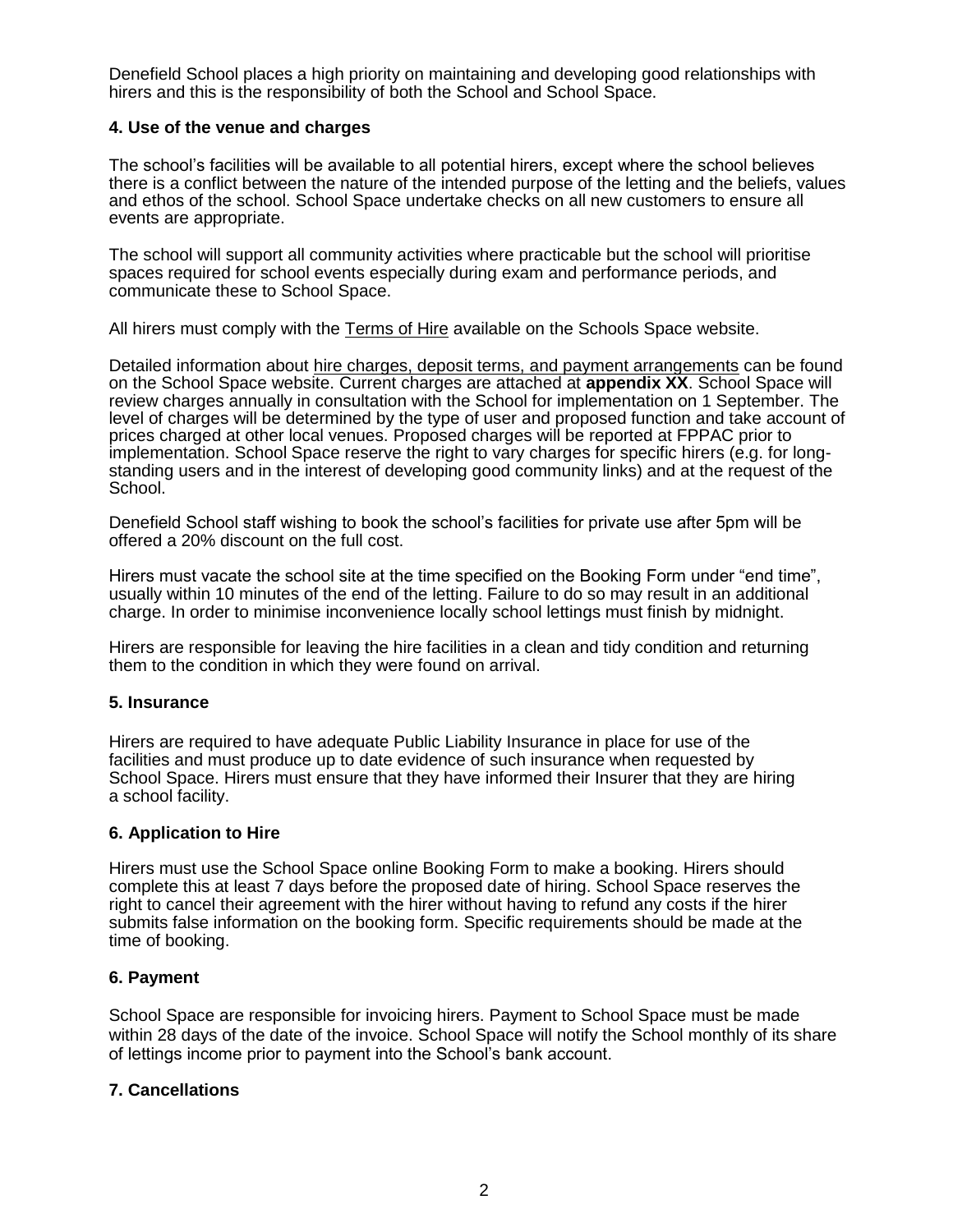Denefield School places a high priority on maintaining and developing good relationships with hirers and this is the responsibility of both the School and School Space.

#### **4. Use of the venue and charges**

The school's facilities will be available to all potential hirers, except where the school believes there is a conflict between the nature of the intended purpose of the letting and the beliefs, values and ethos of the school. School Space undertake checks on all new customers to ensure all events are appropriate.

The school will support all community activities where practicable but the school will prioritise spaces required for school events especially during exam and performance periods, and communicate these to School Space.

All hirers must comply with the [Terms of Hire](https://school-space.org/terms-conditions/) available on the Schools Space website.

Detailed information about [hire charges, deposit terms, and payment arrangements](https://school-space.org/terms-conditions/hire-charges-deposit-terms/) can be found on the School Space website. Current charges are attached at **appendix XX**. School Space will review charges annually in consultation with the School for implementation on 1 September. The level of charges will be determined by the type of user and proposed function and take account of prices charged at other local venues. Proposed charges will be reported at FPPAC prior to implementation. School Space reserve the right to vary charges for specific hirers (e.g. for longstanding users and in the interest of developing good community links) and at the request of the School.

Denefield School staff wishing to book the school's facilities for private use after 5pm will be offered a 20% discount on the full cost.

Hirers must vacate the school site at the time specified on the Booking Form under "end time", usually within 10 minutes of the end of the letting. Failure to do so may result in an additional charge. In order to minimise inconvenience locally school lettings must finish by midnight.

Hirers are responsible for leaving the hire facilities in a clean and tidy condition and returning them to the condition in which they were found on arrival.

## **5. Insurance**

Hirers are required to have adequate Public Liability Insurance in place for use of the facilities and must produce up to date evidence of such insurance when requested by School Space. Hirers must ensure that they have informed their Insurer that they are hiring a school facility.

#### **6. Application to Hire**

Hirers must use the School Space online Booking Form to make a booking. Hirers should complete this at least 7 days before the proposed date of hiring. School Space reserves the right to cancel their agreement with the hirer without having to refund any costs if the hirer submits false information on the booking form. Specific requirements should be made at the time of booking.

#### **6. Payment**

School Space are responsible for invoicing hirers. Payment to School Space must be made within 28 days of the date of the invoice. School Space will notify the School monthly of its share of lettings income prior to payment into the School's bank account.

## **7. Cancellations**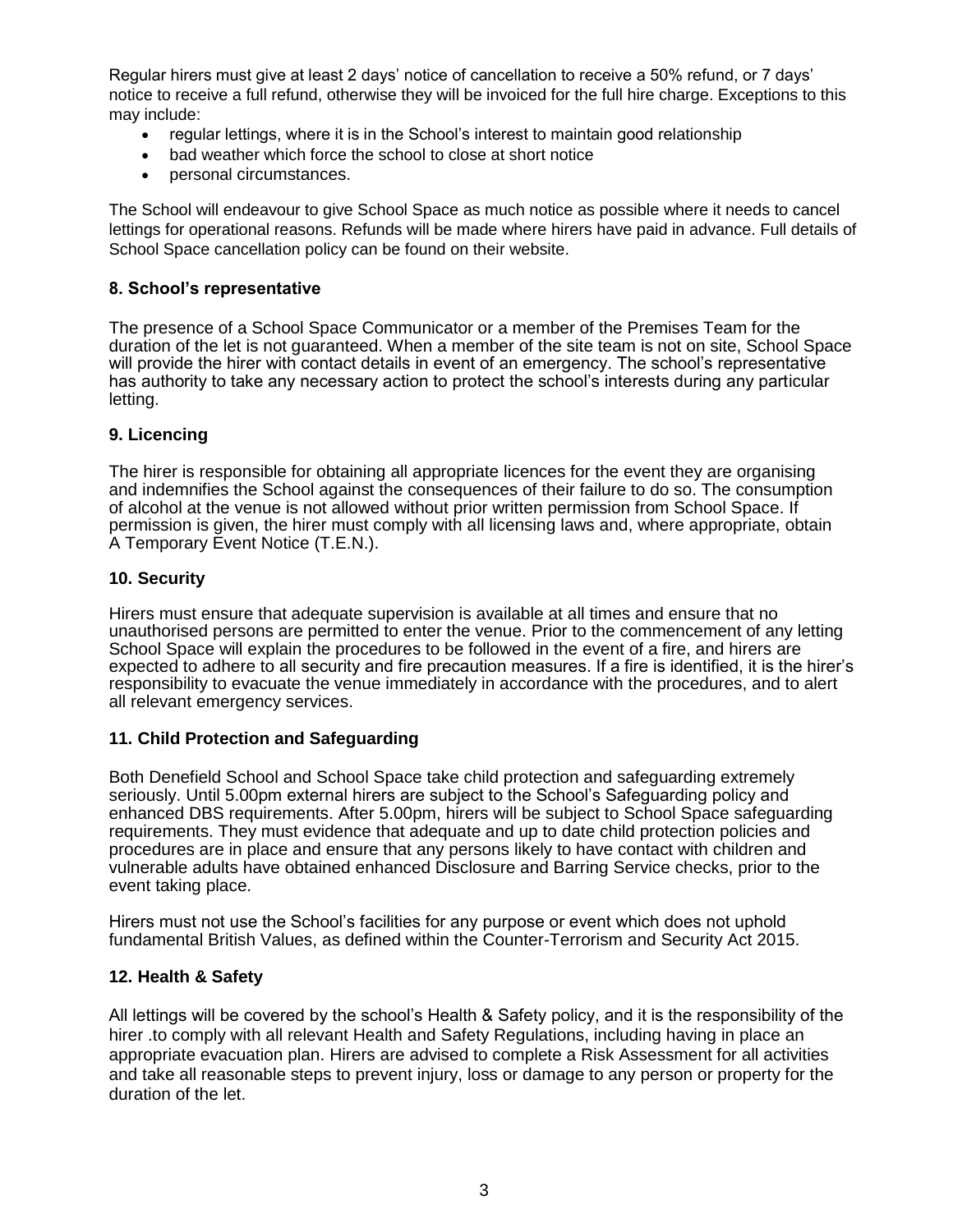Regular hirers must give at least 2 days' notice of cancellation to receive a 50% refund, or 7 days' notice to receive a full refund, otherwise they will be invoiced for the full hire charge. Exceptions to this may include:

- regular lettings, where it is in the School's interest to maintain good relationship
- bad weather which force the school to close at short notice
- personal circumstances.

The School will endeavour to give School Space as much notice as possible where it needs to cancel lettings for operational reasons. Refunds will be made where hirers have paid in advance. Full details of School Space cancellation policy can be found on their website.

#### **8. School's representative**

The presence of a School Space Communicator or a member of the Premises Team for the duration of the let is not guaranteed. When a member of the site team is not on site, School Space will provide the hirer with contact details in event of an emergency. The school's representative has authority to take any necessary action to protect the school's interests during any particular letting.

#### **9. Licencing**

The hirer is responsible for obtaining all appropriate licences for the event they are organising and indemnifies the School against the consequences of their failure to do so. The consumption of alcohol at the venue is not allowed without prior written permission from School Space. If permission is given, the hirer must comply with all licensing laws and, where appropriate, obtain A Temporary Event Notice (T.E.N.).

## **10. Security**

Hirers must ensure that adequate supervision is available at all times and ensure that no unauthorised persons are permitted to enter the venue. Prior to the commencement of any letting School Space will explain the procedures to be followed in the event of a fire, and hirers are expected to adhere to all security and fire precaution measures. If a fire is identified, it is the hirer's responsibility to evacuate the venue immediately in accordance with the procedures, and to alert all relevant emergency services.

## **11. Child Protection and Safeguarding**

Both Denefield School and School Space take child protection and safeguarding extremely seriously. Until 5.00pm external hirers are subject to the School's Safeguarding policy and enhanced DBS requirements. After 5.00pm, hirers will be subject to School Space safeguarding requirements. They must evidence that adequate and up to date child protection policies and procedures are in place and ensure that any persons likely to have contact with children and vulnerable adults have obtained enhanced Disclosure and Barring Service checks, prior to the event taking place.

Hirers must not use the School's facilities for any purpose or event which does not uphold fundamental British Values, as defined within the Counter-Terrorism and Security Act 2015.

## **12. Health & Safety**

All lettings will be covered by the school's Health & Safety policy, and it is the responsibility of the hirer .to comply with all relevant Health and Safety Regulations, including having in place an appropriate evacuation plan. Hirers are advised to complete a Risk Assessment for all activities and take all reasonable steps to prevent injury, loss or damage to any person or property for the duration of the let.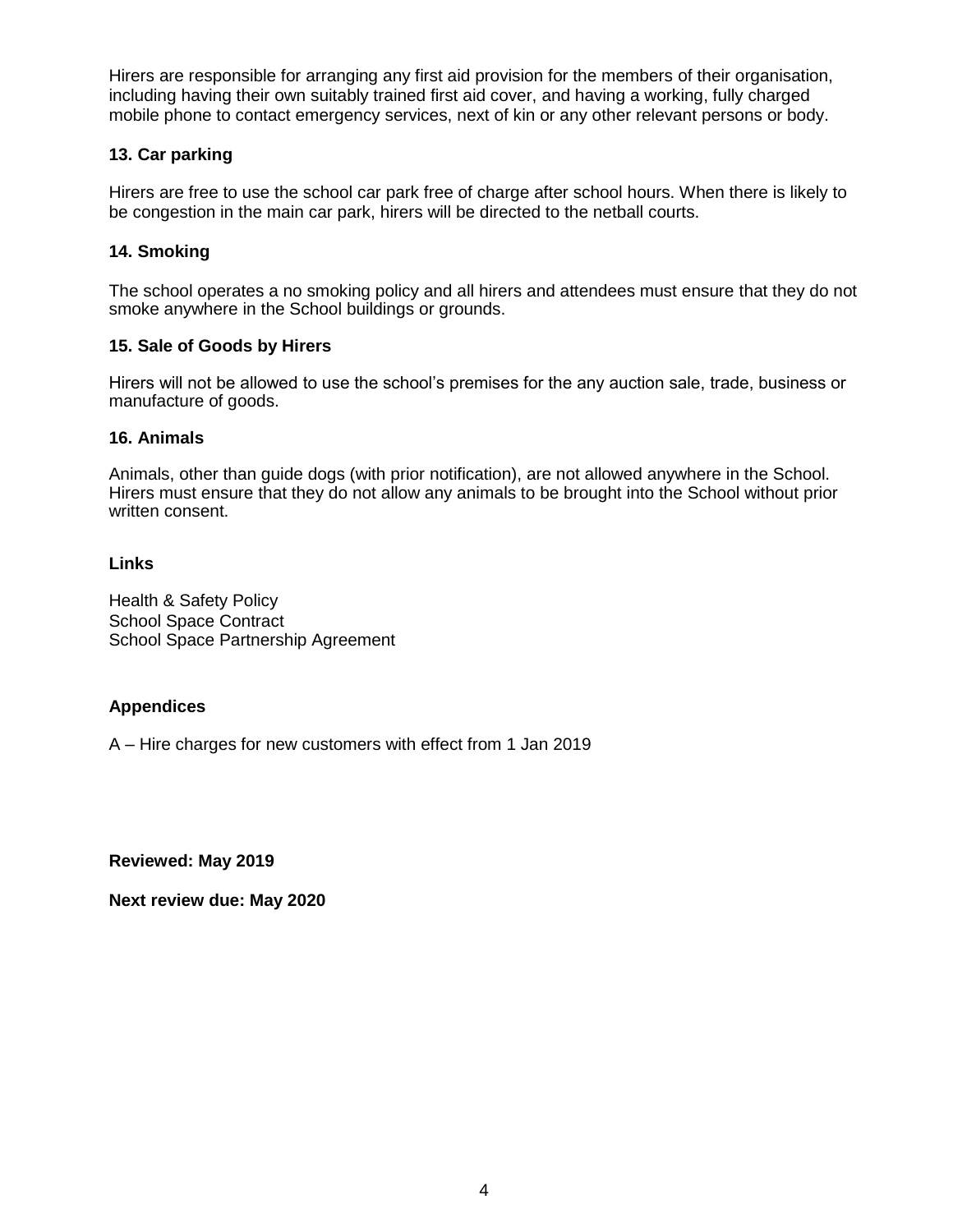Hirers are responsible for arranging any first aid provision for the members of their organisation, including having their own suitably trained first aid cover, and having a working, fully charged mobile phone to contact emergency services, next of kin or any other relevant persons or body.

# **13. Car parking**

Hirers are free to use the school car park free of charge after school hours. When there is likely to be congestion in the main car park, hirers will be directed to the netball courts.

# **14. Smoking**

The school operates a no smoking policy and all hirers and attendees must ensure that they do not smoke anywhere in the School buildings or grounds.

# **15. Sale of Goods by Hirers**

Hirers will not be allowed to use the school's premises for the any auction sale, trade, business or manufacture of goods.

# **16. Animals**

Animals, other than guide dogs (with prior notification), are not allowed anywhere in the School. Hirers must ensure that they do not allow any animals to be brought into the School without prior written consent.

## **Links**

Health & Safety Policy School Space Contract School Space Partnership Agreement

# **Appendices**

A – Hire charges for new customers with effect from 1 Jan 2019

**Reviewed: May 2019**

**Next review due: May 2020**